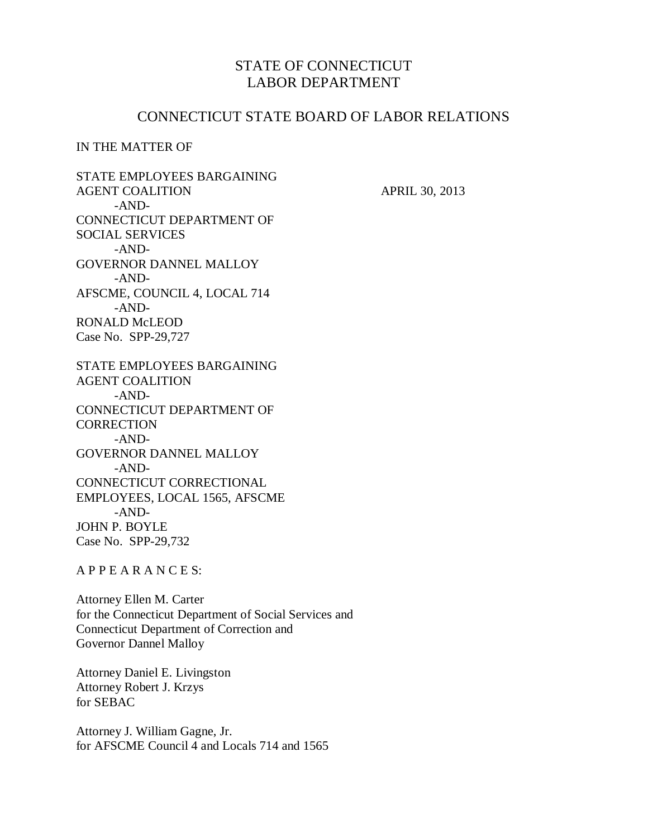## STATE OF CONNECTICUT LABOR DEPARTMENT

### CONNECTICUT STATE BOARD OF LABOR RELATIONS

#### IN THE MATTER OF

STATE EMPLOYEES BARGAINING AGENT COALITION APRIL 30, 2013 -AND-CONNECTICUT DEPARTMENT OF SOCIAL SERVICES -AND-GOVERNOR DANNEL MALLOY -AND-AFSCME, COUNCIL 4, LOCAL 714 -AND-RONALD McLEOD Case No. SPP-29,727 STATE EMPLOYEES BARGAINING AGENT COALITION -AND-CONNECTICUT DEPARTMENT OF **CORRECTION** -AND-GOVERNOR DANNEL MALLOY -AND-CONNECTICUT CORRECTIONAL EMPLOYEES, LOCAL 1565, AFSCME -AND-JOHN P. BOYLE Case No. SPP-29,732

A P P E A R A N C E S:

Attorney Ellen M. Carter for the Connecticut Department of Social Services and Connecticut Department of Correction and Governor Dannel Malloy

Attorney Daniel E. Livingston Attorney Robert J. Krzys for SEBAC

Attorney J. William Gagne, Jr. for AFSCME Council 4 and Locals 714 and 1565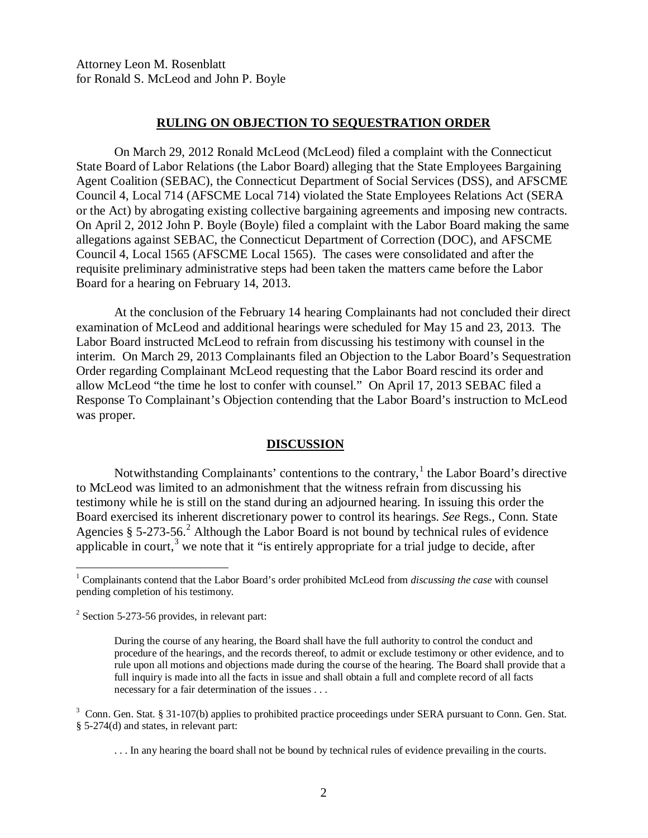Attorney Leon M. Rosenblatt for Ronald S. McLeod and John P. Boyle

#### **RULING ON OBJECTION TO SEQUESTRATION ORDER**

On March 29, 2012 Ronald McLeod (McLeod) filed a complaint with the Connecticut State Board of Labor Relations (the Labor Board) alleging that the State Employees Bargaining Agent Coalition (SEBAC), the Connecticut Department of Social Services (DSS), and AFSCME Council 4, Local 714 (AFSCME Local 714) violated the State Employees Relations Act (SERA or the Act) by abrogating existing collective bargaining agreements and imposing new contracts. On April 2, 2012 John P. Boyle (Boyle) filed a complaint with the Labor Board making the same allegations against SEBAC, the Connecticut Department of Correction (DOC), and AFSCME Council 4, Local 1565 (AFSCME Local 1565). The cases were consolidated and after the requisite preliminary administrative steps had been taken the matters came before the Labor Board for a hearing on February 14, 2013.

At the conclusion of the February 14 hearing Complainants had not concluded their direct examination of McLeod and additional hearings were scheduled for May 15 and 23, 2013. The Labor Board instructed McLeod to refrain from discussing his testimony with counsel in the interim. On March 29, 2013 Complainants filed an Objection to the Labor Board's Sequestration Order regarding Complainant McLeod requesting that the Labor Board rescind its order and allow McLeod "the time he lost to confer with counsel." On April 17, 2013 SEBAC filed a Response To Complainant's Objection contending that the Labor Board's instruction to McLeod was proper.

#### **DISCUSSION**

Notwithstanding Complainants' contentions to the contrary, $<sup>1</sup>$  $<sup>1</sup>$  $<sup>1</sup>$  the Labor Board's directive</sup> to McLeod was limited to an admonishment that the witness refrain from discussing his testimony while he is still on the stand during an adjourned hearing. In issuing this order the Board exercised its inherent discretionary power to control its hearings. *See* Regs., Conn. State Agencies § 5-[2](#page-1-1)73-56.<sup>2</sup> Although the Labor Board is not bound by technical rules of evidence applicable in court, $3$  we note that it "is entirely appropriate for a trial judge to decide, after

<span id="page-1-0"></span> <sup>1</sup> Complainants contend that the Labor Board's order prohibited McLeod from *discussing the case* with counsel pending completion of his testimony.

<span id="page-1-1"></span> $2$  Section 5-273-56 provides, in relevant part:

During the course of any hearing, the Board shall have the full authority to control the conduct and procedure of the hearings, and the records thereof, to admit or exclude testimony or other evidence, and to rule upon all motions and objections made during the course of the hearing. The Board shall provide that a full inquiry is made into all the facts in issue and shall obtain a full and complete record of all facts necessary for a fair determination of the issues . . .

<span id="page-1-2"></span><sup>&</sup>lt;sup>3</sup> Conn. Gen. Stat. § 31-107(b) applies to prohibited practice proceedings under SERA pursuant to Conn. Gen. Stat. § 5-274(d) and states, in relevant part:

<sup>. . .</sup> In any hearing the board shall not be bound by technical rules of evidence prevailing in the courts.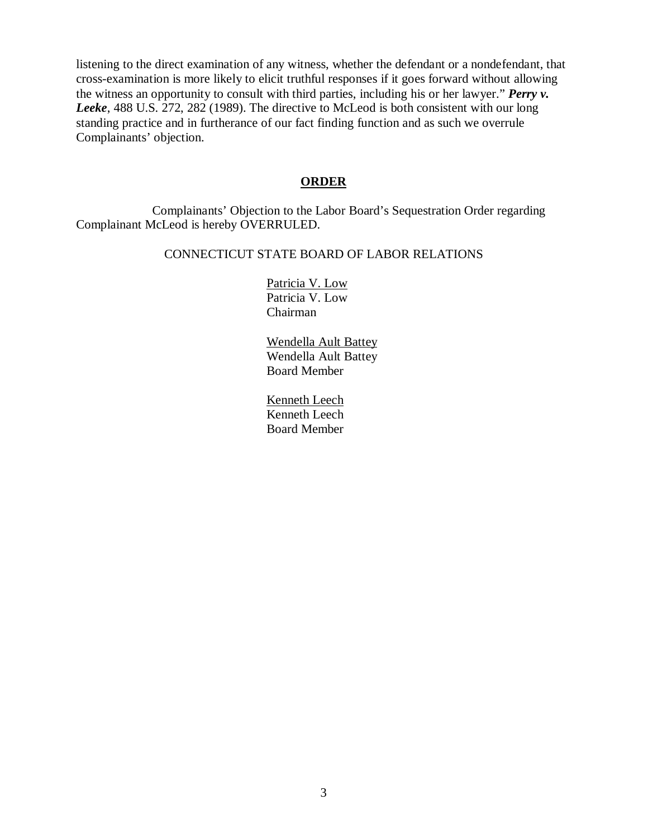listening to the direct examination of any witness, whether the defendant or a nondefendant, that cross-examination is more likely to elicit truthful responses if it goes forward without allowing the witness an opportunity to consult with third parties, including his or her lawyer." *Perry v. Leeke*, 488 U.S. 272, 282 (1989). The directive to McLeod is both consistent with our long standing practice and in furtherance of our fact finding function and as such we overrule Complainants' objection.

#### **ORDER**

Complainants' Objection to the Labor Board's Sequestration Order regarding Complainant McLeod is hereby OVERRULED.

#### CONNECTICUT STATE BOARD OF LABOR RELATIONS

Patricia V. Low Patricia V. Low Chairman

Wendella Ault Battey Wendella Ault Battey Board Member

Kenneth Leech Kenneth Leech Board Member